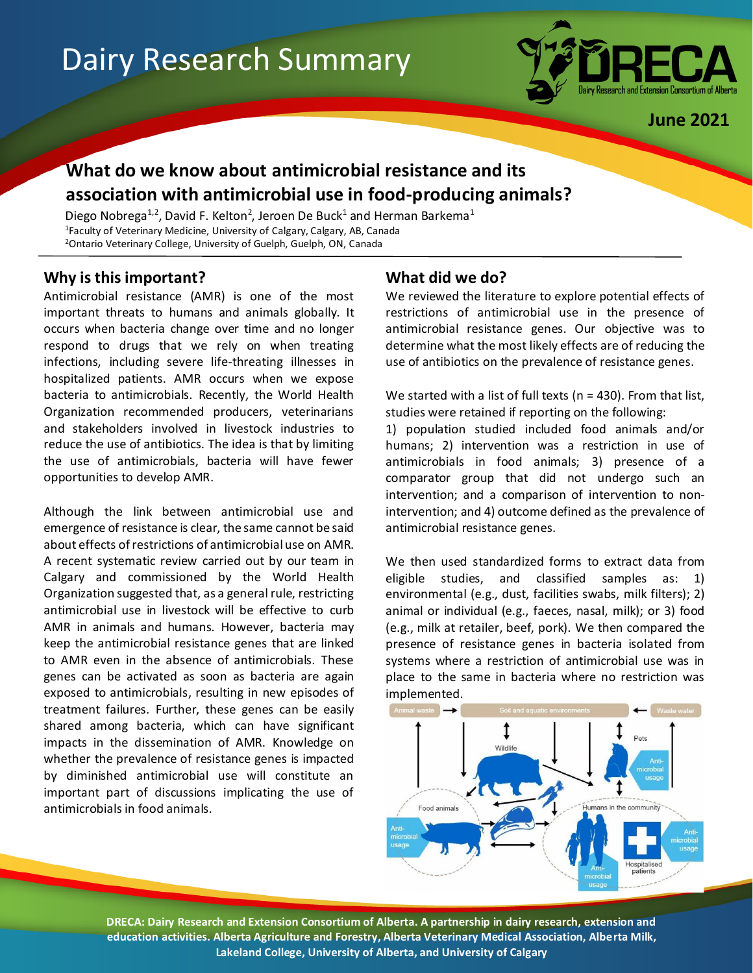# Dairy Research Summary



**June 2021**

# **What do we know about antimicrobial resistance and its association with antimicrobial use in food-producing animals?**

Diego Nobrega<sup>1,2</sup>, David F. Kelton<sup>2</sup>, Jeroen De Buck<sup>1</sup> and Herman Barkema<sup>1</sup> <sup>1</sup>Faculty of Veterinary Medicine, University of Calgary, Calgary, AB, Canada <sup>2</sup>Ontario Veterinary College, University of Guelph, Guelph, ON, Canada

## **Why is this important?**

Antimicrobial resistance (AMR) is one of the most important threats to humans and animals globally. It occurs when bacteria change over time and no longer respond to drugs that we rely on when treating infections, including severe life-threating illnesses in hospitalized patients. AMR occurs when we expose bacteria to antimicrobials. Recently, the World Health Organization recommended producers, veterinarians and stakeholders involved in livestock industries to reduce the use of antibiotics. The idea is that by limiting the use of antimicrobials, bacteria will have fewer opportunities to develop AMR.

Although the link between antimicrobial use and emergence of resistance is clear, the same cannot be said about effects of restrictions of antimicrobial use on AMR. A recent systematic review carried out by our team in Calgary and commissioned by the World Health Organization suggested that, as a general rule, restricting antimicrobial use in livestock will be effective to curb AMR in animals and humans. However, bacteria may keep the antimicrobial resistance genes that are linked to AMR even in the absence of antimicrobials. These genes can be activated as soon as bacteria are again exposed to antimicrobials, resulting in new episodes of treatment failures. Further, these genes can be easily shared among bacteria, which can have significant impacts in the dissemination of AMR. Knowledge on whether the prevalence of resistance genes is impacted by diminished antimicrobial use will constitute an important part of discussions implicating the use of antimicrobials in food animals.

# **What did we do?**

We reviewed the literature to explore potential effects of restrictions of antimicrobial use in the presence of antimicrobial resistance genes. Our objective was to determine what the most likely effects are of reducing the use of antibiotics on the prevalence of resistance genes.

We started with a list of full texts (n = 430). From that list, studies were retained if reporting on the following:

1) population studied included food animals and/or humans; 2) intervention was a restriction in use of antimicrobials in food animals; 3) presence of a comparator group that did not undergo such an intervention; and a comparison of intervention to nonintervention; and 4) outcome defined as the prevalence of antimicrobial resistance genes.

We then used standardized forms to extract data from eligible studies, and classified samples as: 1) environmental (e.g., dust, facilities swabs, milk filters); 2) animal or individual (e.g., faeces, nasal, milk); or 3) food (e.g., milk at retailer, beef, pork). We then compared the presence of resistance genes in bacteria isolated from systems where a restriction of antimicrobial use was in place to the same in bacteria where no restriction was implemented.



**DRECA: Dairy Research and Extension Consortium of Alberta. A partnership in dairy research, extension and education activities. Alberta Agriculture and Forestry, Alberta Veterinary Medical Association, Alberta Milk, Lakeland College, University of Alberta, and University of Calgary**